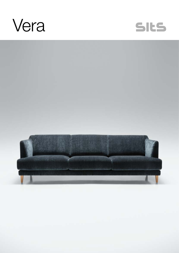



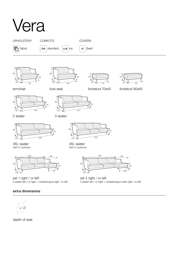## Vera











armchair

love seat footstool 70x45 footstool 90x45





2 seater

3 seater



3XL seater with 2 cushions



set 1 right / or left 2 seater left / or right + chaiselongue right / or left

## extra dimensions



depth of seat



3XL seater with 3 cushions



set 2 right / or left 3 seater left / or right + chaiselongue wide right / or left